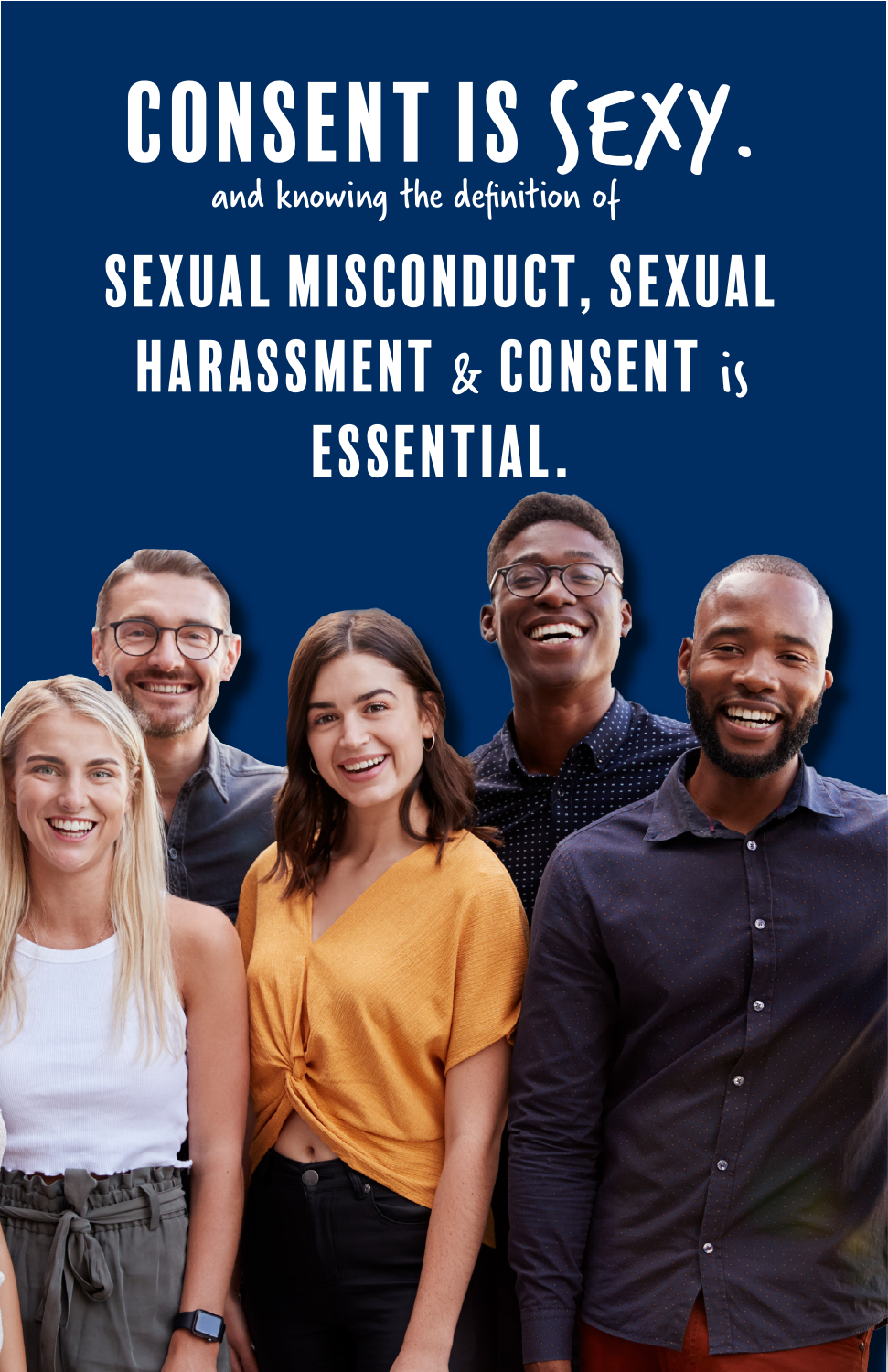

# SEXUAL MISCONDUCT, SEXUAL HARASSMENT & CONSENT is ESSENTIAL.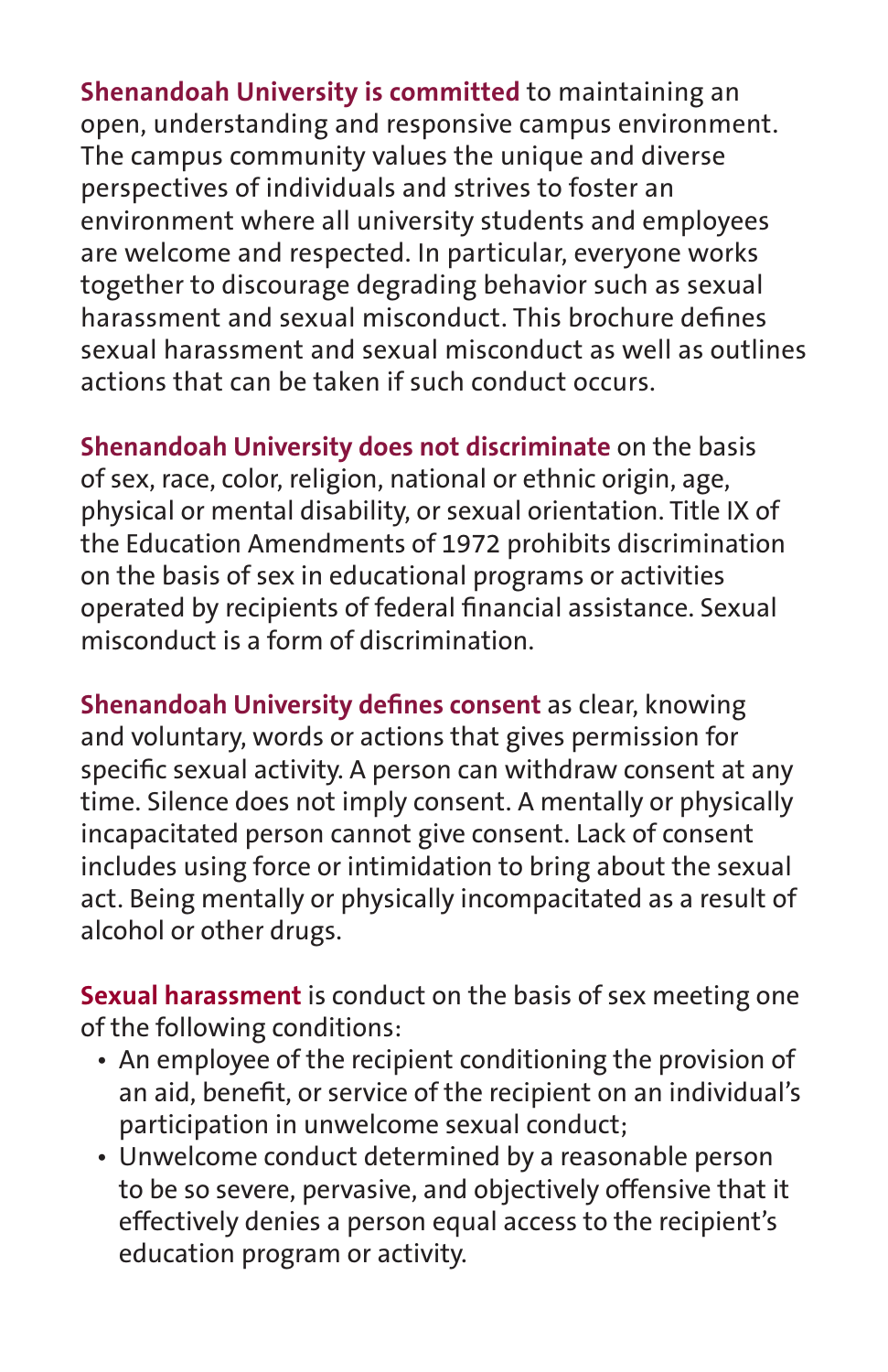**Shenandoah University is committed** to maintaining an open, understanding and responsive campus environment. The campus community values the unique and diverse perspectives of individuals and strives to foster an environment where all university students and employees are welcome and respected. In particular, everyone works together to discourage degrading behavior such as sexual harassment and sexual misconduct. This brochure defines sexual harassment and sexual misconduct as well as outlines actions that can be taken if such conduct occurs.

**Shenandoah University does not discriminate** on the basis of sex, race, color, religion, national or ethnic origin, age, physical or mental disability, or sexual orientation. Title IX of the Education Amendments of 1972 prohibits discrimination on the basis of sex in educational programs or activities operated by recipients of federal financial assistance. Sexual misconduct is a form of discrimination.

**Shenandoah University defines consent** as clear, knowing and voluntary, words or actions that gives permission for specific sexual activity. A person can withdraw consent at any time. Silence does not imply consent. A mentally or physically incapacitated person cannot give consent. Lack of consent includes using force or intimidation to bring about the sexual act. Being mentally or physically incompacitated as a result of alcohol or other drugs.

**Sexual harassment** is conduct on the basis of sex meeting one of the following conditions:

- An employee of the recipient conditioning the provision of an aid, benefit, or service of the recipient on an individual's participation in unwelcome sexual conduct;
- Unwelcome conduct determined by a reasonable person to be so severe, pervasive, and objectively offensive that it effectively denies a person equal access to the recipient's education program or activity.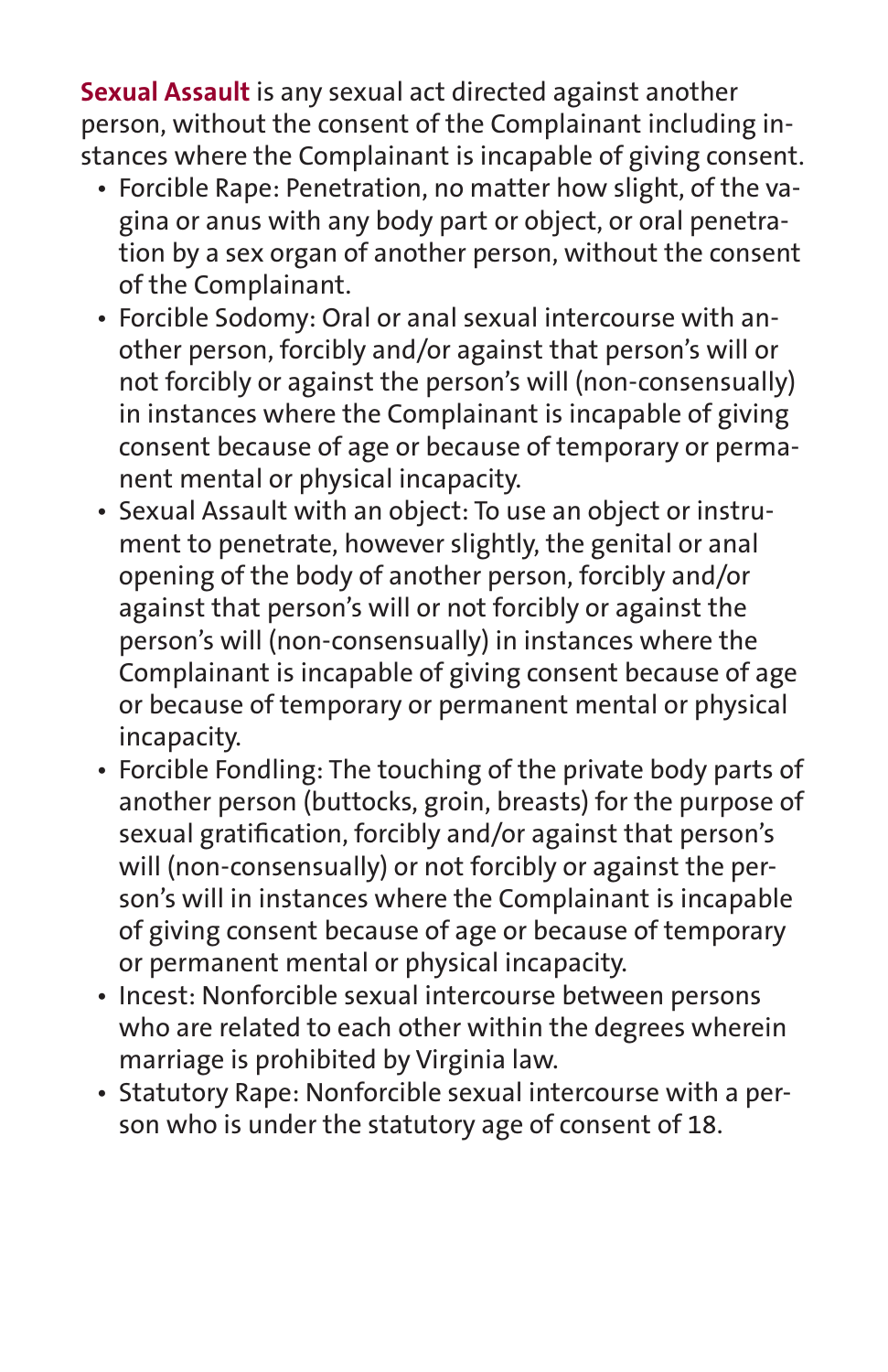**Sexual Assault** is any sexual act directed against another person, without the consent of the Complainant including instances where the Complainant is incapable of giving consent.

- Forcible Rape: Penetration, no matter how slight, of the vagina or anus with any body part or object, or oral penetration by a sex organ of another person, without the consent of the Complainant.
- Forcible Sodomy: Oral or anal sexual intercourse with another person, forcibly and/or against that person's will or not forcibly or against the person's will (non-consensually) in instances where the Complainant is incapable of giving consent because of age or because of temporary or permanent mental or physical incapacity.
- Sexual Assault with an object: To use an object or instrument to penetrate, however slightly, the genital or anal opening of the body of another person, forcibly and/or against that person's will or not forcibly or against the person's will (non-consensually) in instances where the Complainant is incapable of giving consent because of age or because of temporary or permanent mental or physical incapacity.
- Forcible Fondling: The touching of the private body parts of another person (buttocks, groin, breasts) for the purpose of sexual gratification, forcibly and/or against that person's will (non-consensually) or not forcibly or against the person's will in instances where the Complainant is incapable of giving consent because of age or because of temporary or permanent mental or physical incapacity.
- Incest: Nonforcible sexual intercourse between persons who are related to each other within the degrees wherein marriage is prohibited by Virginia law.
- Statutory Rape: Nonforcible sexual intercourse with a person who is under the statutory age of consent of 18.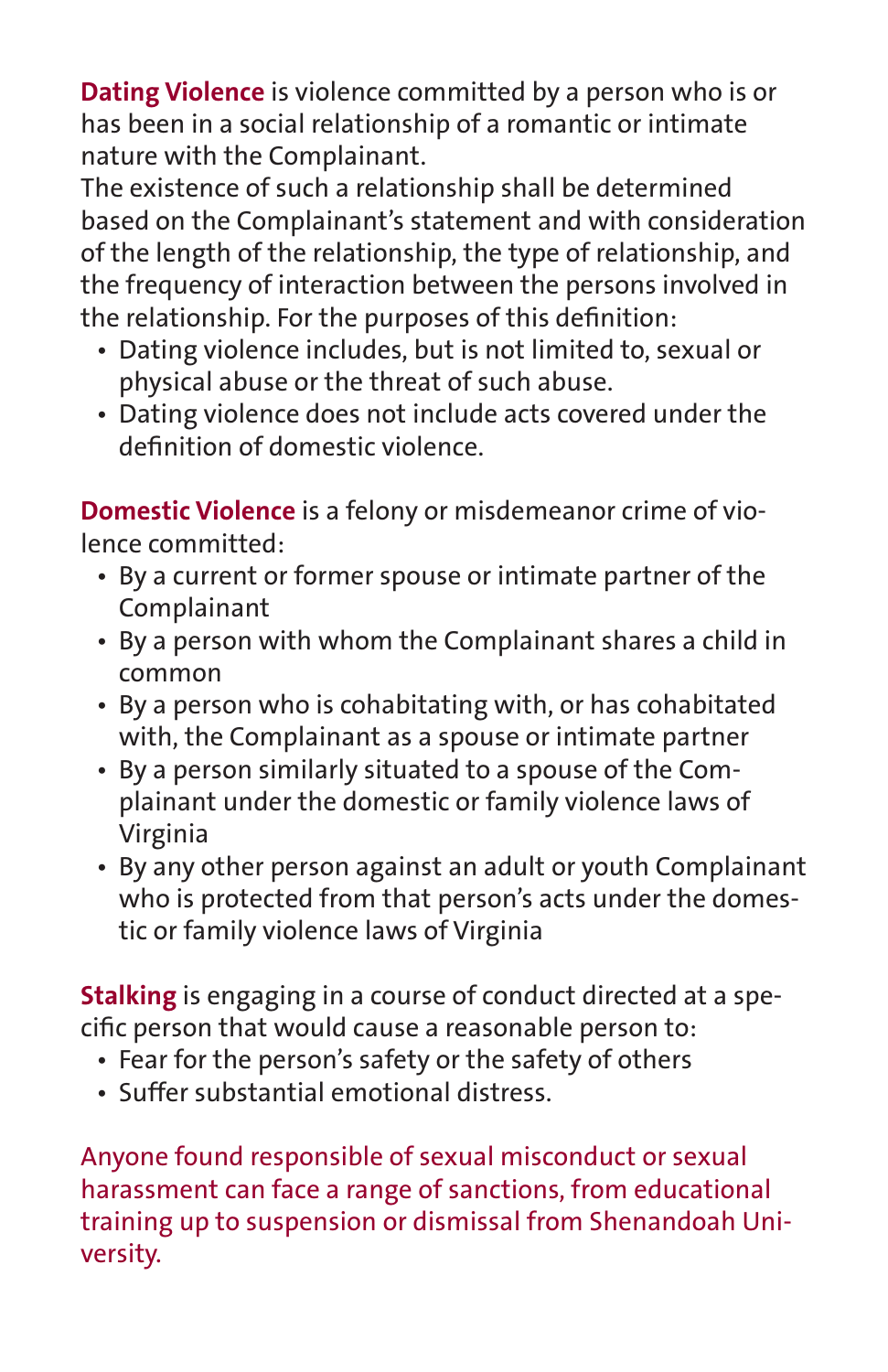**Dating Violence** is violence committed by a person who is or has been in a social relationship of a romantic or intimate nature with the Complainant.

The existence of such a relationship shall be determined based on the Complainant's statement and with consideration of the length of the relationship, the type of relationship, and the frequency of interaction between the persons involved in the relationship. For the purposes of this definition:

- Dating violence includes, but is not limited to, sexual or physical abuse or the threat of such abuse.
- Dating violence does not include acts covered under the definition of domestic violence.

**Domestic Violence** is a felony or misdemeanor crime of violence committed:

- By a current or former spouse or intimate partner of the Complainant
- By a person with whom the Complainant shares a child in common
- By a person who is cohabitating with, or has cohabitated with, the Complainant as a spouse or intimate partner
- By a person similarly situated to a spouse of the Complainant under the domestic or family violence laws of Virginia
- By any other person against an adult or youth Complainant who is protected from that person's acts under the domestic or family violence laws of Virginia

**Stalking** is engaging in a course of conduct directed at a specific person that would cause a reasonable person to:

- Fear for the person's safety or the safety of others
- Suffer substantial emotional distress.

Anyone found responsible of sexual misconduct or sexual harassment can face a range of sanctions, from educational training up to suspension or dismissal from Shenandoah University.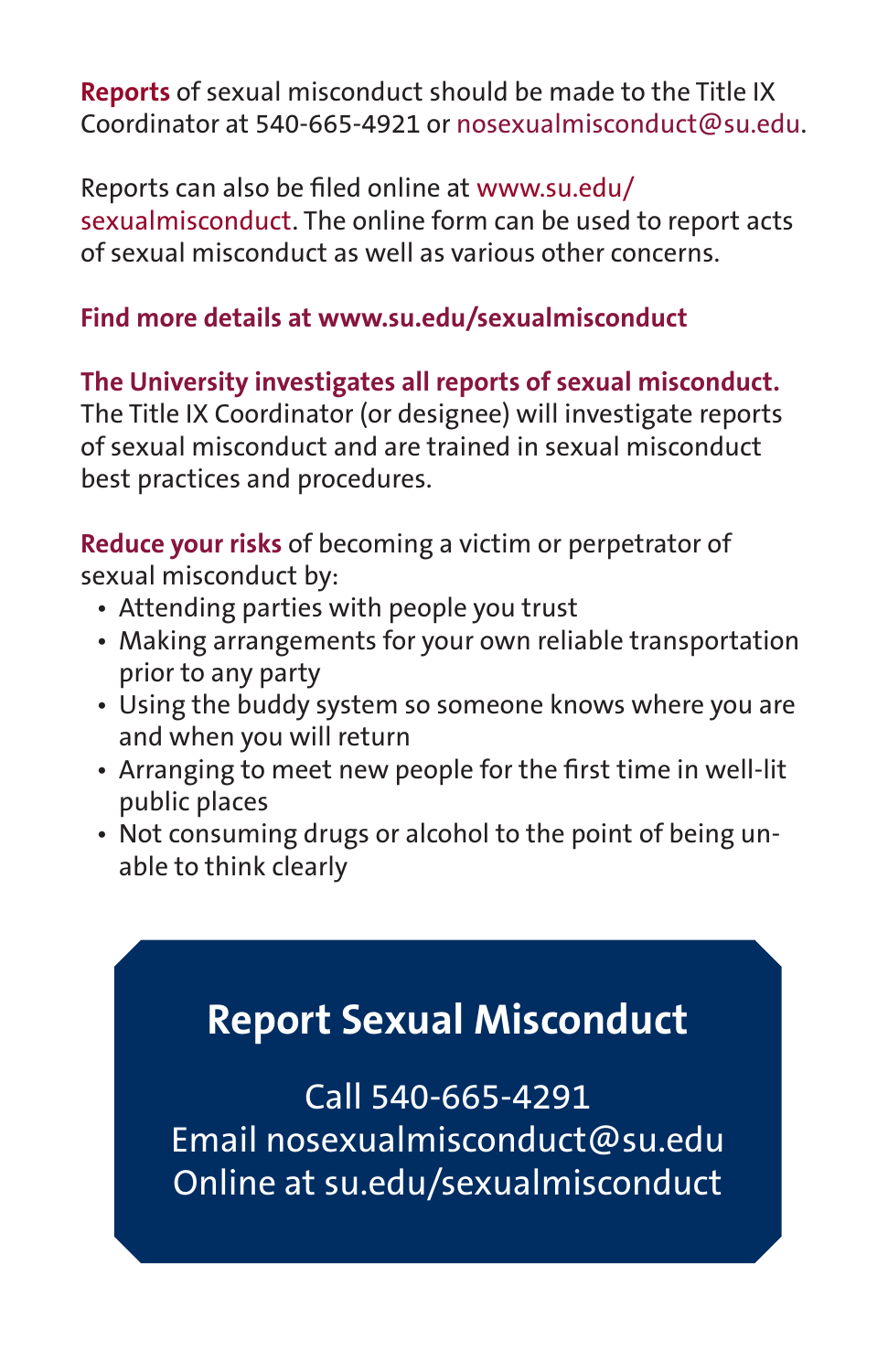**Reports** of sexual misconduct should be made to the Title IX Coordinator at 540-665-4921 or nosexualmisconduct@su.edu.

Reports can also be filed online at www.su.edu/ sexualmisconduct. The online form can be used to report acts of sexual misconduct as well as various other concerns.

#### **Find more details at www.su.edu/sexualmisconduct**

### **The University investigates all reports of sexual misconduct.**

The Title IX Coordinator (or designee) will investigate reports of sexual misconduct and are trained in sexual misconduct best practices and procedures.

**Reduce your risks** of becoming a victim or perpetrator of sexual misconduct by:

- Attending parties with people you trust
- Making arrangements for your own reliable transportation prior to any party
- Using the buddy system so someone knows where you are and when you will return
- Arranging to meet new people for the first time in well-lit public places
- Not consuming drugs or alcohol to the point of being unable to think clearly

### **Report Sexual Misconduct**

Call 540-665-4291 Email nosexualmisconduct@su.edu Online at su.edu/sexualmisconduct